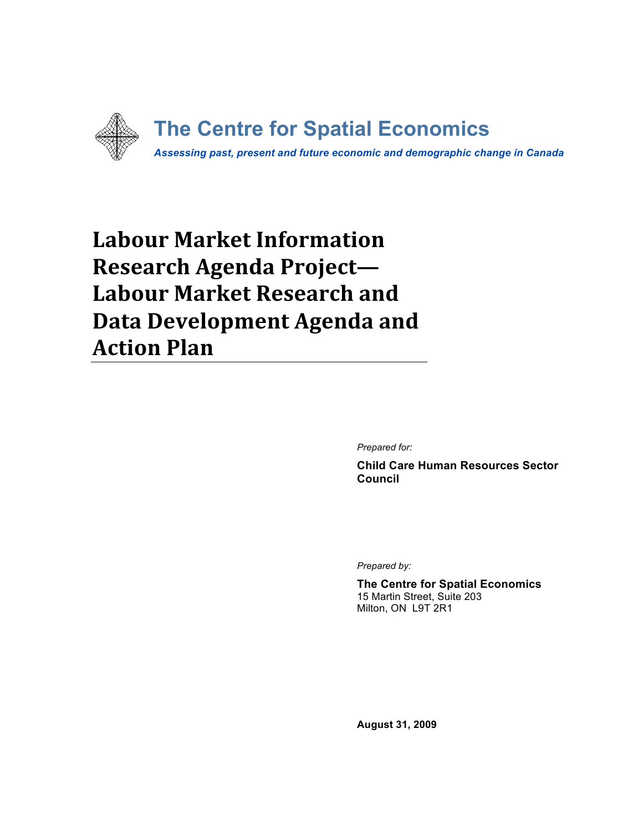

# **Labour Market Information Research Agenda Project--Labour Market Research and Data Development Agenda and Action Plan**

*Prepared for:*

**Child Care Human Resources Sector Council**

*Prepared by:*

**The Centre for Spatial Economics** 15 Martin Street, Suite 203 Milton, ON L9T 2R1

**August 31, 2009**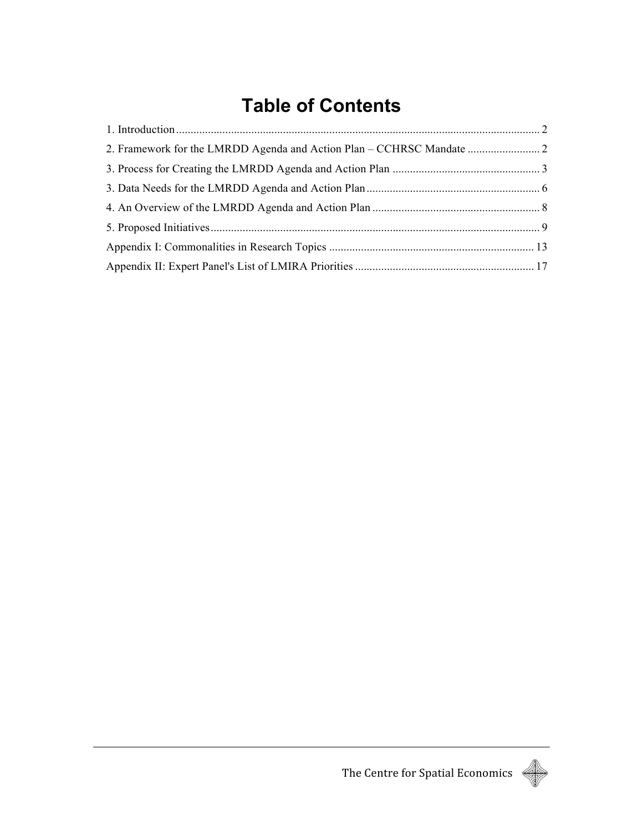# **Table of Contents**

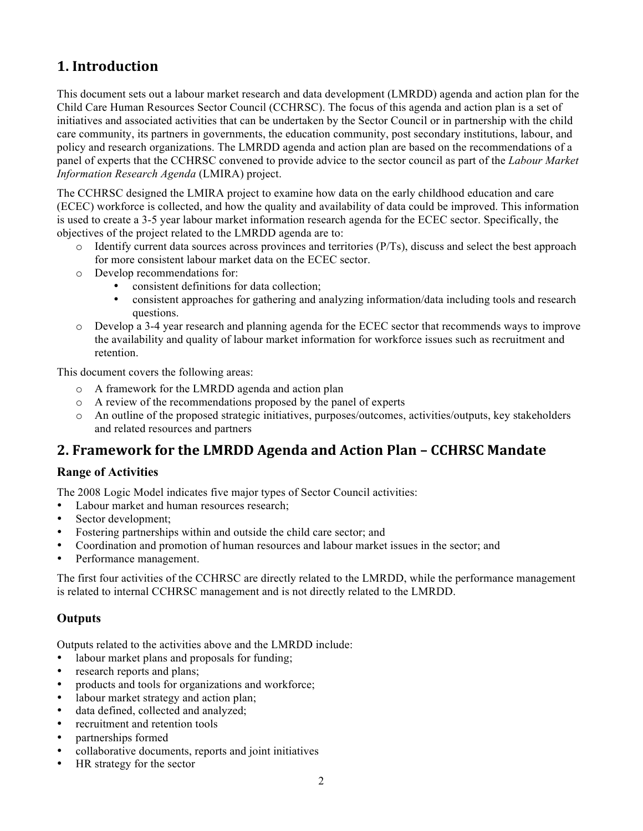## **1.** Introduction

This document sets out a labour market research and data development (LMRDD) agenda and action plan for the Child Care Human Resources Sector Council (CCHRSC). The focus of this agenda and action plan is a set of initiatives and associated activities that can be undertaken by the Sector Council or in partnership with the child care community, its partners in governments, the education community, post secondary institutions, labour, and policy and research organizations. The LMRDD agenda and action plan are based on the recommendations of a panel of experts that the CCHRSC convened to provide advice to the sector council as part of the *Labour Market Information Research Agenda* (LMIRA) project.

The CCHRSC designed the LMIRA project to examine how data on the early childhood education and care (ECEC) workforce is collected, and how the quality and availability of data could be improved. This information is used to create a 3-5 year labour market information research agenda for the ECEC sector. Specifically, the objectives of the project related to the LMRDD agenda are to:

- o Identify current data sources across provinces and territories (P/Ts), discuss and select the best approach for more consistent labour market data on the ECEC sector.
- o Develop recommendations for:
	- consistent definitions for data collection;
	- consistent approaches for gathering and analyzing information/data including tools and research questions.
- o Develop a 3-4 year research and planning agenda for the ECEC sector that recommends ways to improve the availability and quality of labour market information for workforce issues such as recruitment and retention.

This document covers the following areas:

- o A framework for the LMRDD agenda and action plan
- o A review of the recommendations proposed by the panel of experts
- o An outline of the proposed strategic initiatives, purposes/outcomes, activities/outputs, key stakeholders and related resources and partners

## **2. Framework for the LMRDD Agenda and Action Plan - CCHRSC Mandate**

#### **Range of Activities**

The 2008 Logic Model indicates five major types of Sector Council activities:

- Labour market and human resources research;
- Sector development:
- Fostering partnerships within and outside the child care sector; and
- Coordination and promotion of human resources and labour market issues in the sector; and
- Performance management.

The first four activities of the CCHRSC are directly related to the LMRDD, while the performance management is related to internal CCHRSC management and is not directly related to the LMRDD.

### **Outputs**

Outputs related to the activities above and the LMRDD include:

- labour market plans and proposals for funding;
- research reports and plans;
- products and tools for organizations and workforce;
- labour market strategy and action plan;
- data defined, collected and analyzed;
- recruitment and retention tools
- partnerships formed
- collaborative documents, reports and joint initiatives
- HR strategy for the sector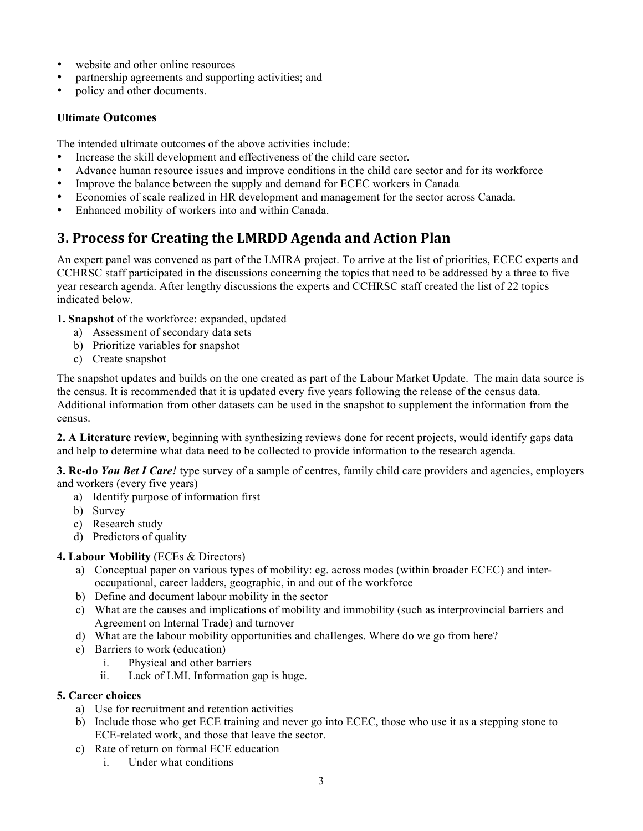- website and other online resources
- partnership agreements and supporting activities; and
- policy and other documents.

#### **Ultimate Outcomes**

The intended ultimate outcomes of the above activities include:

- Increase the skill development and effectiveness of the child care sector*.*
- Advance human resource issues and improve conditions in the child care sector and for its workforce
- Improve the balance between the supply and demand for ECEC workers in Canada
- Economies of scale realized in HR development and management for the sector across Canada.
- Enhanced mobility of workers into and within Canada.

## **3. Process for Creating the LMRDD Agenda and Action Plan**

An expert panel was convened as part of the LMIRA project. To arrive at the list of priorities, ECEC experts and CCHRSC staff participated in the discussions concerning the topics that need to be addressed by a three to five year research agenda. After lengthy discussions the experts and CCHRSC staff created the list of 22 topics indicated below.

#### **1. Snapshot** of the workforce: expanded, updated

- a) Assessment of secondary data sets
- b) Prioritize variables for snapshot
- c) Create snapshot

The snapshot updates and builds on the one created as part of the Labour Market Update. The main data source is the census. It is recommended that it is updated every five years following the release of the census data. Additional information from other datasets can be used in the snapshot to supplement the information from the census.

**2. A Literature review**, beginning with synthesizing reviews done for recent projects, would identify gaps data and help to determine what data need to be collected to provide information to the research agenda.

**3. Re-do** *You Bet I Care!* type survey of a sample of centres, family child care providers and agencies, employers and workers (every five years)

- a) Identify purpose of information first
- b) Survey
- c) Research study
- d) Predictors of quality

#### **4. Labour Mobility** (ECEs & Directors)

- a) Conceptual paper on various types of mobility: eg. across modes (within broader ECEC) and interoccupational, career ladders, geographic, in and out of the workforce
- b) Define and document labour mobility in the sector
- c) What are the causes and implications of mobility and immobility (such as interprovincial barriers and Agreement on Internal Trade) and turnover
- d) What are the labour mobility opportunities and challenges. Where do we go from here?
- e) Barriers to work (education)
	- i. Physical and other barriers
	- ii. Lack of LMI. Information gap is huge.

#### **5. Career choices**

- a) Use for recruitment and retention activities
- b) Include those who get ECE training and never go into ECEC, those who use it as a stepping stone to ECE-related work, and those that leave the sector.
- c) Rate of return on formal ECE education
	- i. Under what conditions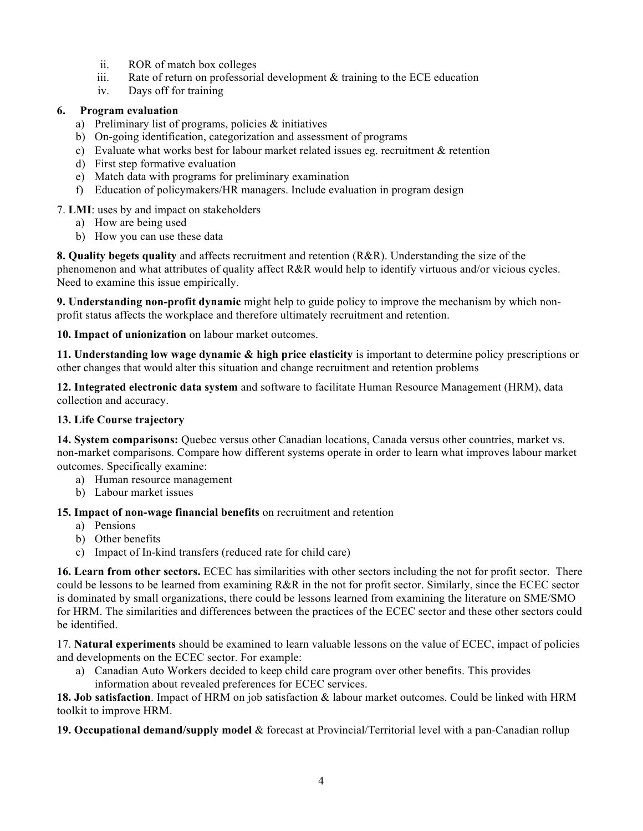- ii. ROR of match box colleges
- iii. Rate of return on professorial development  $\&$  training to the ECE education
- iv. Days off for training

### **6. Program evaluation**

- a) Preliminary list of programs, policies & initiatives
- b) On-going identification, categorization and assessment of programs
- c) Evaluate what works best for labour market related issues eg. recruitment & retention
- d) First step formative evaluation
- e) Match data with programs for preliminary examination
- f) Education of policymakers/HR managers. Include evaluation in program design

### 7. **LMI**: uses by and impact on stakeholders

- a) How are being used
- b) How you can use these data

**8. Quality begets quality** and affects recruitment and retention (R&R). Understanding the size of the phenomenon and what attributes of quality affect R&R would help to identify virtuous and/or vicious cycles. Need to examine this issue empirically.

**9. Understanding non-profit dynamic** might help to guide policy to improve the mechanism by which nonprofit status affects the workplace and therefore ultimately recruitment and retention.

#### **10. Impact of unionization** on labour market outcomes.

**11. Understanding low wage dynamic & high price elasticity** is important to determine policy prescriptions or other changes that would alter this situation and change recruitment and retention problems

**12. Integrated electronic data system** and software to facilitate Human Resource Management (HRM), data collection and accuracy.

#### **13. Life Course trajectory**

**14. System comparisons:** Quebec versus other Canadian locations, Canada versus other countries, market vs. non-market comparisons. Compare how different systems operate in order to learn what improves labour market outcomes. Specifically examine:

- a) Human resource management
- b) Labour market issues

#### **15. Impact of non-wage financial benefits** on recruitment and retention

- a) Pensions
- b) Other benefits
- c) Impact of In-kind transfers (reduced rate for child care)

**16. Learn from other sectors.** ECEC has similarities with other sectors including the not for profit sector. There could be lessons to be learned from examining R&R in the not for profit sector. Similarly, since the ECEC sector is dominated by small organizations, there could be lessons learned from examining the literature on SME/SMO for HRM. The similarities and differences between the practices of the ECEC sector and these other sectors could be identified.

17. **Natural experiments** should be examined to learn valuable lessons on the value of ECEC, impact of policies and developments on the ECEC sector. For example:

a) Canadian Auto Workers decided to keep child care program over other benefits. This provides information about revealed preferences for ECEC services.

**18. Job satisfaction**. Impact of HRM on job satisfaction & labour market outcomes. Could be linked with HRM toolkit to improve HRM.

**19. Occupational demand/supply model** & forecast at Provincial/Territorial level with a pan-Canadian rollup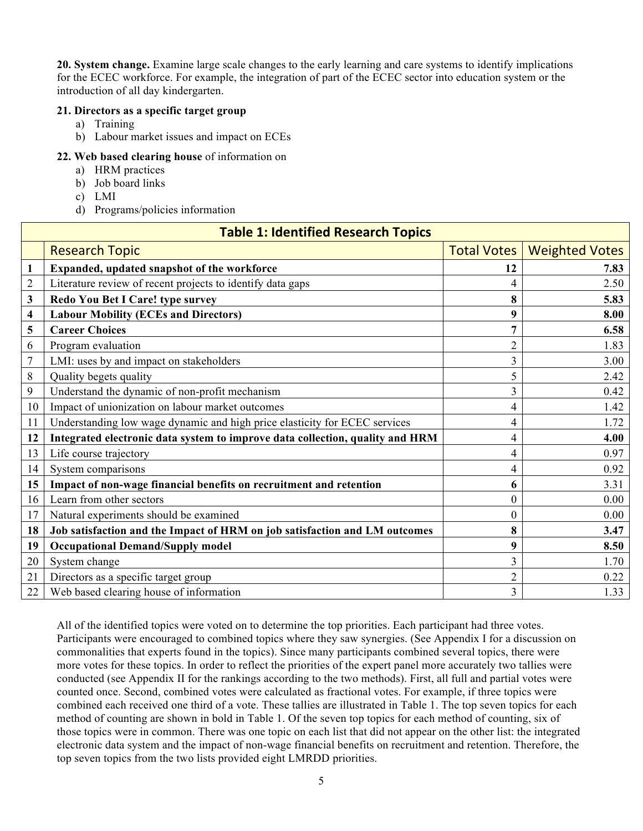**20. System change.** Examine large scale changes to the early learning and care systems to identify implications for the ECEC workforce. For example, the integration of part of the ECEC sector into education system or the introduction of all day kindergarten.

#### **21. Directors as a specific target group**

- a) Training
- b) Labour market issues and impact on ECEs

#### **22. Web based clearing house** of information on

- a) HRM practices
- b) Job board links
- c) LMI
- d) Programs/policies information

| <b>Table 1: Identified Research Topics</b> |                                                                               |                    |                       |  |
|--------------------------------------------|-------------------------------------------------------------------------------|--------------------|-----------------------|--|
|                                            | <b>Research Topic</b>                                                         | <b>Total Votes</b> | <b>Weighted Votes</b> |  |
| 1                                          | Expanded, updated snapshot of the workforce                                   | 12                 | 7.83                  |  |
| $\overline{2}$                             | Literature review of recent projects to identify data gaps                    | 4                  | 2.50                  |  |
| 3                                          | Redo You Bet I Care! type survey                                              | 8                  | 5.83                  |  |
| 4                                          | <b>Labour Mobility (ECEs and Directors)</b>                                   | 9                  | 8.00                  |  |
| 5                                          | <b>Career Choices</b>                                                         | 7                  | 6.58                  |  |
| 6                                          | Program evaluation                                                            | $\overline{2}$     | 1.83                  |  |
| $\overline{7}$                             | LMI: uses by and impact on stakeholders                                       | 3                  | 3.00                  |  |
| 8                                          | Quality begets quality                                                        | 5                  | 2.42                  |  |
| 9                                          | Understand the dynamic of non-profit mechanism                                | 3                  | 0.42                  |  |
| 10                                         | Impact of unionization on labour market outcomes                              | 4                  | 1.42                  |  |
| 11                                         | Understanding low wage dynamic and high price elasticity for ECEC services    | 4                  | 1.72                  |  |
| 12                                         | Integrated electronic data system to improve data collection, quality and HRM | 4                  | 4.00                  |  |
| 13                                         | Life course trajectory                                                        | 4                  | 0.97                  |  |
| 14                                         | System comparisons                                                            | 4                  | 0.92                  |  |
| 15                                         | Impact of non-wage financial benefits on recruitment and retention            | 6                  | 3.31                  |  |
| 16                                         | Learn from other sectors                                                      | $\theta$           | 0.00                  |  |
| 17                                         | Natural experiments should be examined                                        | $\theta$           | 0.00                  |  |
| 18                                         | Job satisfaction and the Impact of HRM on job satisfaction and LM outcomes    | 8                  | 3.47                  |  |
| 19                                         | <b>Occupational Demand/Supply model</b>                                       | 9                  | 8.50                  |  |
| 20                                         | System change                                                                 | 3                  | 1.70                  |  |
| 21                                         | Directors as a specific target group                                          | $\overline{2}$     | 0.22                  |  |
| 22                                         | Web based clearing house of information                                       | 3                  | 1.33                  |  |

All of the identified topics were voted on to determine the top priorities. Each participant had three votes. Participants were encouraged to combined topics where they saw synergies. (See Appendix I for a discussion on commonalities that experts found in the topics). Since many participants combined several topics, there were more votes for these topics. In order to reflect the priorities of the expert panel more accurately two tallies were conducted (see Appendix II for the rankings according to the two methods). First, all full and partial votes were counted once. Second, combined votes were calculated as fractional votes. For example, if three topics were combined each received one third of a vote. These tallies are illustrated in Table 1. The top seven topics for each method of counting are shown in bold in Table 1. Of the seven top topics for each method of counting, six of those topics were in common. There was one topic on each list that did not appear on the other list: the integrated electronic data system and the impact of non-wage financial benefits on recruitment and retention. Therefore, the top seven topics from the two lists provided eight LMRDD priorities.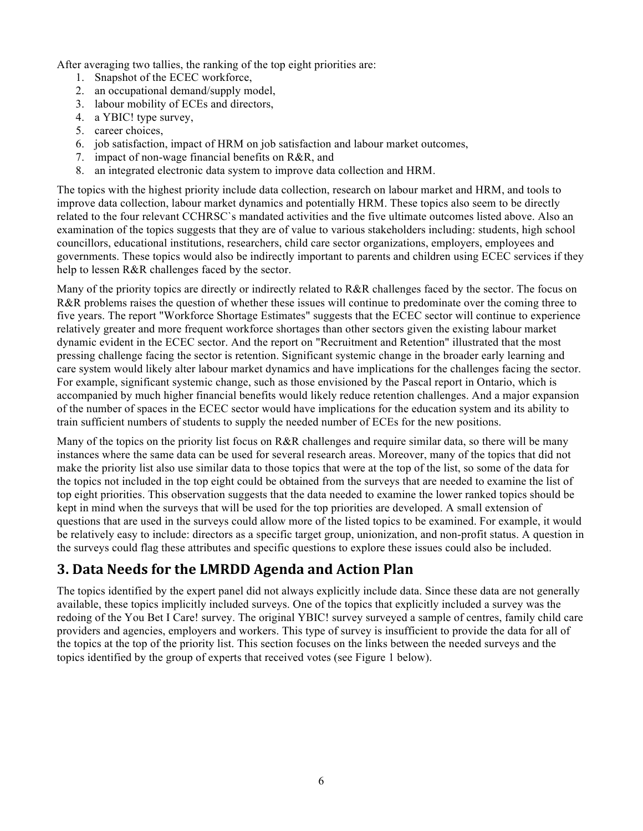After averaging two tallies, the ranking of the top eight priorities are:

- 1. Snapshot of the ECEC workforce,
- 2. an occupational demand/supply model,
- 3. labour mobility of ECEs and directors,
- 4. a YBIC! type survey,
- 5. career choices,
- 6. job satisfaction, impact of HRM on job satisfaction and labour market outcomes,
- 7. impact of non-wage financial benefits on R&R, and
- 8. an integrated electronic data system to improve data collection and HRM.

The topics with the highest priority include data collection, research on labour market and HRM, and tools to improve data collection, labour market dynamics and potentially HRM. These topics also seem to be directly related to the four relevant CCHRSC`s mandated activities and the five ultimate outcomes listed above. Also an examination of the topics suggests that they are of value to various stakeholders including: students, high school councillors, educational institutions, researchers, child care sector organizations, employers, employees and governments. These topics would also be indirectly important to parents and children using ECEC services if they help to lessen R&R challenges faced by the sector.

Many of the priority topics are directly or indirectly related to R&R challenges faced by the sector. The focus on R&R problems raises the question of whether these issues will continue to predominate over the coming three to five years. The report "Workforce Shortage Estimates" suggests that the ECEC sector will continue to experience relatively greater and more frequent workforce shortages than other sectors given the existing labour market dynamic evident in the ECEC sector. And the report on "Recruitment and Retention" illustrated that the most pressing challenge facing the sector is retention. Significant systemic change in the broader early learning and care system would likely alter labour market dynamics and have implications for the challenges facing the sector. For example, significant systemic change, such as those envisioned by the Pascal report in Ontario, which is accompanied by much higher financial benefits would likely reduce retention challenges. And a major expansion of the number of spaces in the ECEC sector would have implications for the education system and its ability to train sufficient numbers of students to supply the needed number of ECEs for the new positions.

Many of the topics on the priority list focus on R&R challenges and require similar data, so there will be many instances where the same data can be used for several research areas. Moreover, many of the topics that did not make the priority list also use similar data to those topics that were at the top of the list, so some of the data for the topics not included in the top eight could be obtained from the surveys that are needed to examine the list of top eight priorities. This observation suggests that the data needed to examine the lower ranked topics should be kept in mind when the surveys that will be used for the top priorities are developed. A small extension of questions that are used in the surveys could allow more of the listed topics to be examined. For example, it would be relatively easy to include: directors as a specific target group, unionization, and non-profit status. A question in the surveys could flag these attributes and specific questions to explore these issues could also be included.

## **3. Data Needs for the LMRDD Agenda and Action Plan**

The topics identified by the expert panel did not always explicitly include data. Since these data are not generally available, these topics implicitly included surveys. One of the topics that explicitly included a survey was the redoing of the You Bet I Care! survey. The original YBIC! survey surveyed a sample of centres, family child care providers and agencies, employers and workers. This type of survey is insufficient to provide the data for all of the topics at the top of the priority list. This section focuses on the links between the needed surveys and the topics identified by the group of experts that received votes (see Figure 1 below).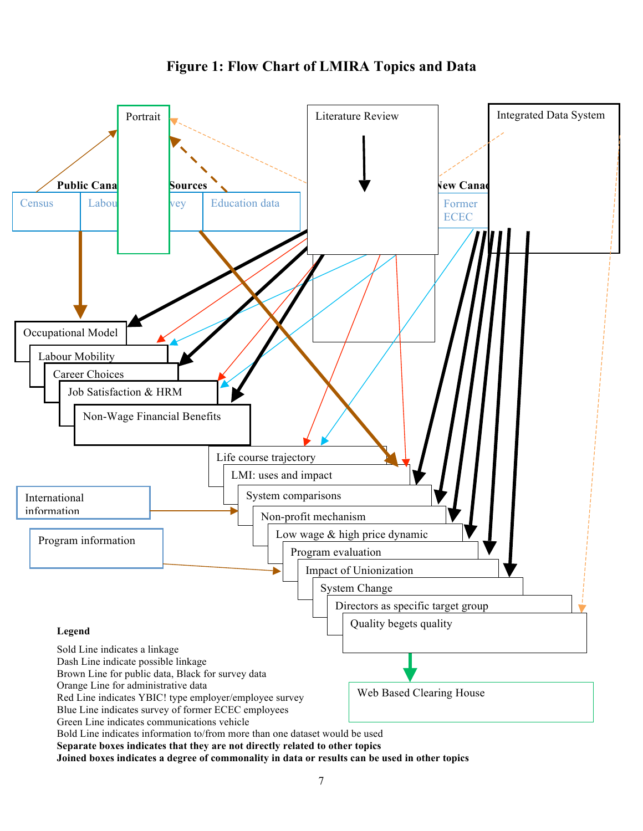

## **Figure 1: Flow Chart of LMIRA Topics and Data**

**Separate boxes indicates that they are not directly related to other topics**

**Joined boxes indicates a degree of commonality in data or results can be used in other topics**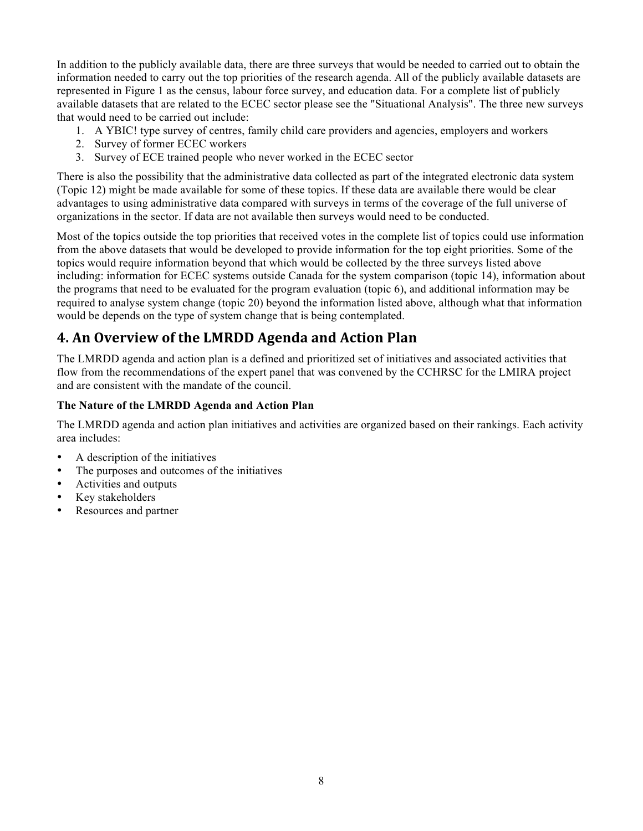In addition to the publicly available data, there are three surveys that would be needed to carried out to obtain the information needed to carry out the top priorities of the research agenda. All of the publicly available datasets are represented in Figure 1 as the census, labour force survey, and education data. For a complete list of publicly available datasets that are related to the ECEC sector please see the "Situational Analysis". The three new surveys that would need to be carried out include:

- 1. A YBIC! type survey of centres, family child care providers and agencies, employers and workers
- 2. Survey of former ECEC workers
- 3. Survey of ECE trained people who never worked in the ECEC sector

There is also the possibility that the administrative data collected as part of the integrated electronic data system (Topic 12) might be made available for some of these topics. If these data are available there would be clear advantages to using administrative data compared with surveys in terms of the coverage of the full universe of organizations in the sector. If data are not available then surveys would need to be conducted.

Most of the topics outside the top priorities that received votes in the complete list of topics could use information from the above datasets that would be developed to provide information for the top eight priorities. Some of the topics would require information beyond that which would be collected by the three surveys listed above including: information for ECEC systems outside Canada for the system comparison (topic 14), information about the programs that need to be evaluated for the program evaluation (topic 6), and additional information may be required to analyse system change (topic 20) beyond the information listed above, although what that information would be depends on the type of system change that is being contemplated.

## **4. An Overview of the LMRDD Agenda and Action Plan**

The LMRDD agenda and action plan is a defined and prioritized set of initiatives and associated activities that flow from the recommendations of the expert panel that was convened by the CCHRSC for the LMIRA project and are consistent with the mandate of the council.

#### **The Nature of the LMRDD Agenda and Action Plan**

The LMRDD agenda and action plan initiatives and activities are organized based on their rankings. Each activity area includes:

- A description of the initiatives
- The purposes and outcomes of the initiatives
- Activities and outputs
- Key stakeholders
- Resources and partner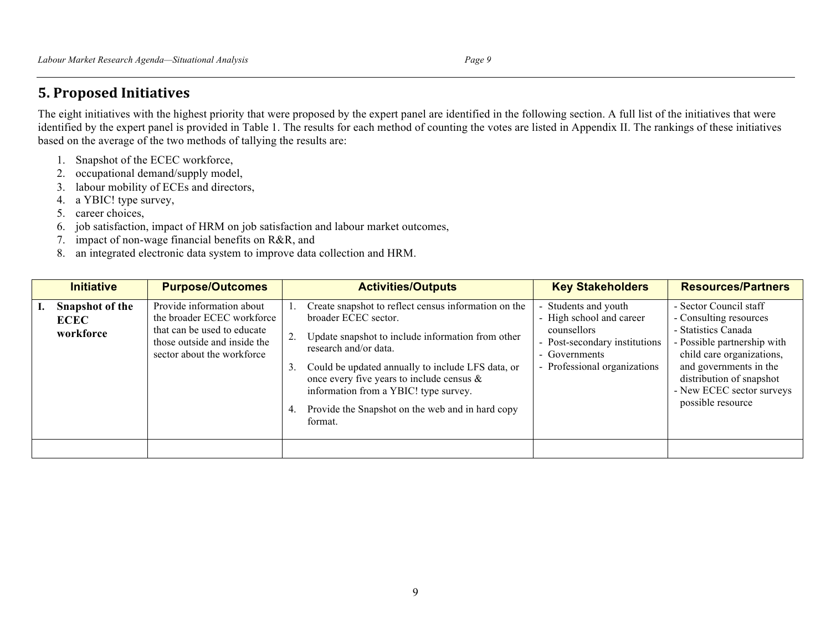## **5. Proposed Initiatives**

The eight initiatives with the highest priority that were proposed by the expert panel are identified in the following section. A full list of the initiatives that were identified by the expert panel is provided in Table 1. The results for each method of counting the votes are listed in Appendix II. The rankings of these initiatives based on the average of the two methods of tallying the results are:

- 1. Snapshot of the ECEC workforce,
- 2. occupational demand/supply model,
- 3. labour mobility of ECEs and directors,
- 4. a YBIC! type survey,
- 5. career choices,
- 6. job satisfaction, impact of HRM on job satisfaction and labour market outcomes,
- 7. impact of non-wage financial benefits on R&R, and
- 8. an integrated electronic data system to improve data collection and HRM.

| <b>Initiative</b>                                  | <b>Purpose/Outcomes</b>                                                                                                                              | <b>Key Stakeholders</b><br><b>Activities/Outputs</b>                                                                                                                                                                                                                                                                                                                                                                                                                                                                                                     | <b>Resources/Partners</b>                                                                                                                                                                                                                   |
|----------------------------------------------------|------------------------------------------------------------------------------------------------------------------------------------------------------|----------------------------------------------------------------------------------------------------------------------------------------------------------------------------------------------------------------------------------------------------------------------------------------------------------------------------------------------------------------------------------------------------------------------------------------------------------------------------------------------------------------------------------------------------------|---------------------------------------------------------------------------------------------------------------------------------------------------------------------------------------------------------------------------------------------|
| <b>Snapshot of the</b><br><b>ECEC</b><br>workforce | Provide information about<br>the broader ECEC workforce<br>that can be used to educate<br>those outside and inside the<br>sector about the workforce | Create snapshot to reflect census information on the<br>Students and youth<br>- High school and career<br>broader ECEC sector.<br>counsellors<br>Update snapshot to include information from other<br>Post-secondary institutions<br>$\sim$<br>research and/or data.<br>- Governments<br>Professional organizations<br>Could be updated annually to include LFS data, or<br>3.<br>$\blacksquare$<br>once every five years to include census $\&$<br>information from a YBIC! type survey.<br>Provide the Snapshot on the web and in hard copy<br>format. | - Sector Council staff<br>- Consulting resources<br>- Statistics Canada<br>- Possible partnership with<br>child care organizations,<br>and governments in the<br>distribution of snapshot<br>- New ECEC sector surveys<br>possible resource |
|                                                    |                                                                                                                                                      |                                                                                                                                                                                                                                                                                                                                                                                                                                                                                                                                                          |                                                                                                                                                                                                                                             |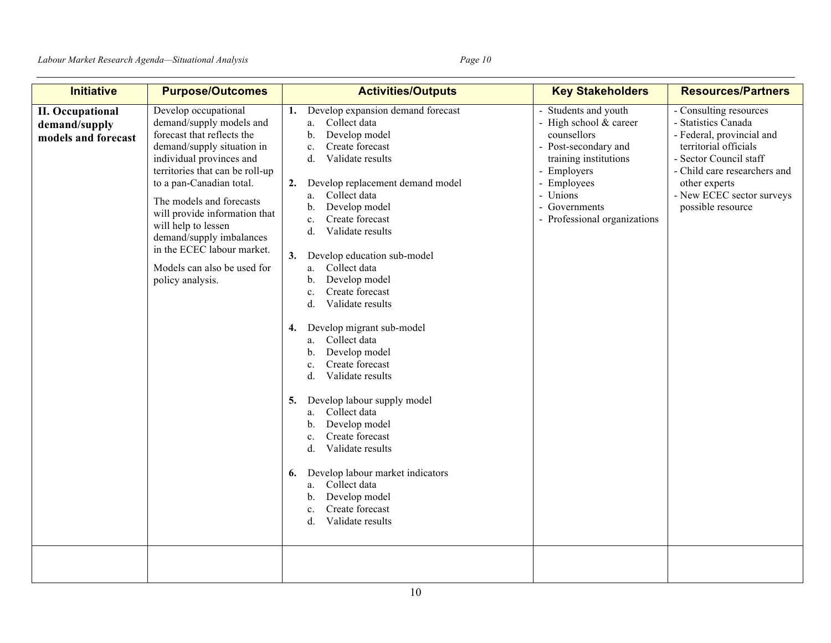| <b>Initiative</b>                                               | <b>Purpose/Outcomes</b>                                                                                                                                                                                                                                                                                                                                                                                  | <b>Activities/Outputs</b>                                                                                                                                                                                                                                                                                                                                                                                                                                                                                                                                                                                                                                                                                                                                                                                                                               | <b>Key Stakeholders</b>                                                                                                                                                                                   | <b>Resources/Partners</b>                                                                                                                                                                                                        |
|-----------------------------------------------------------------|----------------------------------------------------------------------------------------------------------------------------------------------------------------------------------------------------------------------------------------------------------------------------------------------------------------------------------------------------------------------------------------------------------|---------------------------------------------------------------------------------------------------------------------------------------------------------------------------------------------------------------------------------------------------------------------------------------------------------------------------------------------------------------------------------------------------------------------------------------------------------------------------------------------------------------------------------------------------------------------------------------------------------------------------------------------------------------------------------------------------------------------------------------------------------------------------------------------------------------------------------------------------------|-----------------------------------------------------------------------------------------------------------------------------------------------------------------------------------------------------------|----------------------------------------------------------------------------------------------------------------------------------------------------------------------------------------------------------------------------------|
| <b>II. Occupational</b><br>demand/supply<br>models and forecast | Develop occupational<br>demand/supply models and<br>forecast that reflects the<br>demand/supply situation in<br>individual provinces and<br>territories that can be roll-up<br>to a pan-Canadian total.<br>The models and forecasts<br>will provide information that<br>will help to lessen<br>demand/supply imbalances<br>in the ECEC labour market.<br>Models can also be used for<br>policy analysis. | Develop expansion demand forecast<br>1.<br>Collect data<br>a.<br>Develop model<br>b.<br>Create forecast<br>c.<br>Validate results<br>d.<br>Develop replacement demand model<br>2.<br>Collect data<br>a.<br>Develop model<br>b.<br>Create forecast<br>$c$ .<br>Validate results<br>d.<br>Develop education sub-model<br>3.<br>Collect data<br>a.<br>Develop model<br>b.<br>Create forecast<br>c.<br>Validate results<br>d.<br>Develop migrant sub-model<br>4.<br>Collect data<br>a.<br>Develop model<br>b.<br>Create forecast<br>$\mathbf{c}$ .<br>Validate results<br>d.<br>Develop labour supply model<br>5.<br>Collect data<br>a.<br>Develop model<br>b.<br>Create forecast<br>c.<br>Validate results<br>d.<br>Develop labour market indicators<br>6.<br>Collect data<br>a.<br>Develop model<br>b.<br>Create forecast<br>c.<br>Validate results<br>d. | - Students and youth<br>- High school & career<br>counsellors<br>- Post-secondary and<br>training institutions<br>- Employers<br>- Employees<br>- Unions<br>- Governments<br>- Professional organizations | - Consulting resources<br>- Statistics Canada<br>- Federal, provincial and<br>territorial officials<br>- Sector Council staff<br>- Child care researchers and<br>other experts<br>- New ECEC sector surveys<br>possible resource |
|                                                                 |                                                                                                                                                                                                                                                                                                                                                                                                          |                                                                                                                                                                                                                                                                                                                                                                                                                                                                                                                                                                                                                                                                                                                                                                                                                                                         |                                                                                                                                                                                                           |                                                                                                                                                                                                                                  |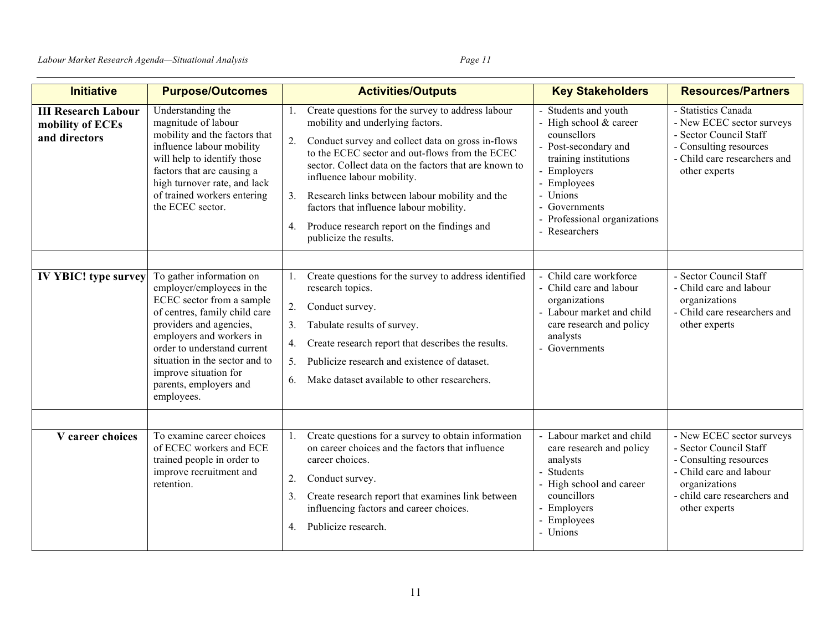| <b>Initiative</b>                                               | <b>Purpose/Outcomes</b>                                                                                                                                                                                                                                                                                      | <b>Activities/Outputs</b>                                                                                                                                                                                                                                                                                                                                                                                                                                                   | <b>Key Stakeholders</b>                                                                                                                                                                                                  | <b>Resources/Partners</b>                                                                                                                                                  |
|-----------------------------------------------------------------|--------------------------------------------------------------------------------------------------------------------------------------------------------------------------------------------------------------------------------------------------------------------------------------------------------------|-----------------------------------------------------------------------------------------------------------------------------------------------------------------------------------------------------------------------------------------------------------------------------------------------------------------------------------------------------------------------------------------------------------------------------------------------------------------------------|--------------------------------------------------------------------------------------------------------------------------------------------------------------------------------------------------------------------------|----------------------------------------------------------------------------------------------------------------------------------------------------------------------------|
| <b>III Research Labour</b><br>mobility of ECEs<br>and directors | Understanding the<br>magnitude of labour<br>mobility and the factors that<br>influence labour mobility<br>will help to identify those<br>factors that are causing a<br>high turnover rate, and lack<br>of trained workers entering<br>the ECEC sector.                                                       | Create questions for the survey to address labour<br>mobility and underlying factors.<br>2.<br>Conduct survey and collect data on gross in-flows<br>to the ECEC sector and out-flows from the ECEC<br>sector. Collect data on the factors that are known to<br>influence labour mobility.<br>Research links between labour mobility and the<br>3.<br>factors that influence labour mobility.<br>Produce research report on the findings and<br>4.<br>publicize the results. | Students and youth<br>- High school & career<br>counsellors<br>- Post-secondary and<br>training institutions<br>- Employers<br>- Employees<br>- Unions<br>- Governments<br>- Professional organizations<br>- Researchers | - Statistics Canada<br>- New ECEC sector surveys<br>- Sector Council Staff<br>- Consulting resources<br>- Child care researchers and<br>other experts                      |
|                                                                 |                                                                                                                                                                                                                                                                                                              |                                                                                                                                                                                                                                                                                                                                                                                                                                                                             |                                                                                                                                                                                                                          |                                                                                                                                                                            |
| <b>IV YBIC!</b> type survey                                     | To gather information on<br>employer/employees in the<br>ECEC sector from a sample<br>of centres, family child care<br>providers and agencies,<br>employers and workers in<br>order to understand current<br>situation in the sector and to<br>improve situation for<br>parents, employers and<br>employees. | Create questions for the survey to address identified<br>1.<br>research topics.<br>2.<br>Conduct survey.<br>3.<br>Tabulate results of survey.<br>Create research report that describes the results.<br>4.<br>Publicize research and existence of dataset.<br>5 <sub>1</sub><br>Make dataset available to other researchers.<br>6.                                                                                                                                           | Child care workforce<br>- Child care and labour<br>organizations<br>- Labour market and child<br>care research and policy<br>analysts<br>- Governments                                                                   | - Sector Council Staff<br>- Child care and labour<br>organizations<br>- Child care researchers and<br>other experts                                                        |
|                                                                 |                                                                                                                                                                                                                                                                                                              |                                                                                                                                                                                                                                                                                                                                                                                                                                                                             |                                                                                                                                                                                                                          |                                                                                                                                                                            |
| V career choices                                                | To examine career choices<br>of ECEC workers and ECE<br>trained people in order to<br>improve recruitment and<br>retention.                                                                                                                                                                                  | Create questions for a survey to obtain information<br>on career choices and the factors that influence<br>career choices.<br>2.<br>Conduct survey.<br>Create research report that examines link between<br>3.<br>influencing factors and career choices.<br>Publicize research.<br>4.                                                                                                                                                                                      | - Labour market and child<br>care research and policy<br>analysts<br>- Students<br>- High school and career<br>councillors<br>- Employers<br>- Employees<br>- Unions                                                     | - New ECEC sector surveys<br>- Sector Council Staff<br>- Consulting resources<br>- Child care and labour<br>organizations<br>- child care researchers and<br>other experts |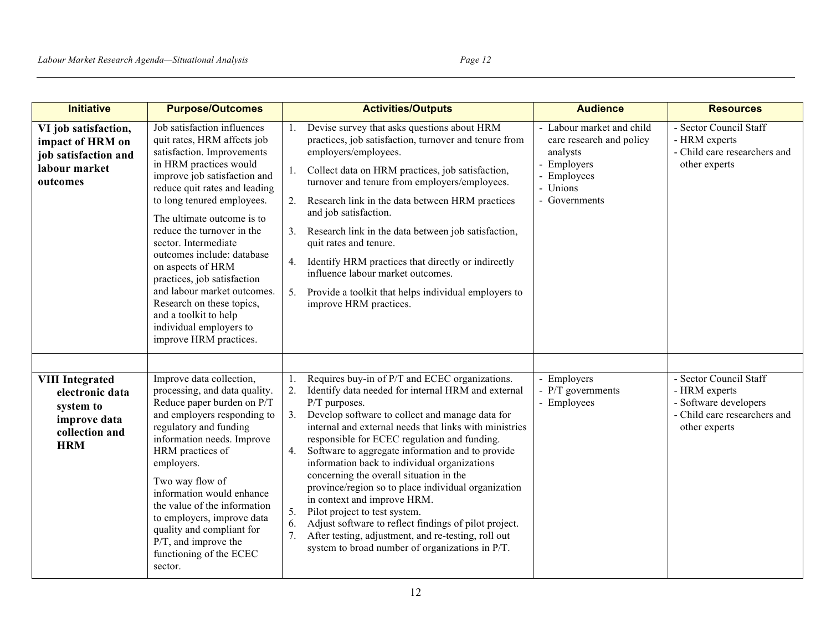| <b>Initiative</b>                                                                                      | <b>Purpose/Outcomes</b>                                                                                                                                                                                                                                                                                                                                                                                                                                                                                                           | <b>Activities/Outputs</b>                                                                                                                                                                                                                                                                                                                                                                                                                                                                                                                                                                                                                                                                                                                                       | <b>Audience</b>                                                                                                              | <b>Resources</b>                                                                                                  |
|--------------------------------------------------------------------------------------------------------|-----------------------------------------------------------------------------------------------------------------------------------------------------------------------------------------------------------------------------------------------------------------------------------------------------------------------------------------------------------------------------------------------------------------------------------------------------------------------------------------------------------------------------------|-----------------------------------------------------------------------------------------------------------------------------------------------------------------------------------------------------------------------------------------------------------------------------------------------------------------------------------------------------------------------------------------------------------------------------------------------------------------------------------------------------------------------------------------------------------------------------------------------------------------------------------------------------------------------------------------------------------------------------------------------------------------|------------------------------------------------------------------------------------------------------------------------------|-------------------------------------------------------------------------------------------------------------------|
| VI job satisfaction,<br>impact of HRM on<br>job satisfaction and<br>labour market<br>outcomes          | Job satisfaction influences<br>quit rates, HRM affects job<br>satisfaction. Improvements<br>in HRM practices would<br>improve job satisfaction and<br>reduce quit rates and leading<br>to long tenured employees.<br>The ultimate outcome is to<br>reduce the turnover in the<br>sector. Intermediate<br>outcomes include: database<br>on aspects of HRM<br>practices, job satisfaction<br>and labour market outcomes.<br>Research on these topics,<br>and a toolkit to help<br>individual employers to<br>improve HRM practices. | Devise survey that asks questions about HRM<br>1.<br>practices, job satisfaction, turnover and tenure from<br>employers/employees.<br>Collect data on HRM practices, job satisfaction,<br>1.<br>turnover and tenure from employers/employees.<br>Research link in the data between HRM practices<br>2.<br>and job satisfaction.<br>Research link in the data between job satisfaction,<br>3.<br>quit rates and tenure.<br>Identify HRM practices that directly or indirectly<br>4.<br>influence labour market outcomes.<br>Provide a toolkit that helps individual employers to<br>5.<br>improve HRM practices.                                                                                                                                                 | - Labour market and child<br>care research and policy<br>analysts<br>- Employers<br>- Employees<br>- Unions<br>- Governments | - Sector Council Staff<br>- HRM experts<br>- Child care researchers and<br>other experts                          |
| <b>VIII Integrated</b><br>electronic data<br>system to<br>improve data<br>collection and<br><b>HRM</b> | Improve data collection,<br>processing, and data quality.<br>Reduce paper burden on P/T<br>and employers responding to<br>regulatory and funding<br>information needs. Improve<br>HRM practices of<br>employers.<br>Two way flow of<br>information would enhance<br>the value of the information<br>to employers, improve data<br>quality and compliant for<br>$P/T$ , and improve the<br>functioning of the ECEC<br>sector.                                                                                                      | Requires buy-in of P/T and ECEC organizations.<br>2.<br>Identify data needed for internal HRM and external<br>P/T purposes.<br>Develop software to collect and manage data for<br>3.<br>internal and external needs that links with ministries<br>responsible for ECEC regulation and funding.<br>Software to aggregate information and to provide<br>4.<br>information back to individual organizations<br>concerning the overall situation in the<br>province/region so to place individual organization<br>in context and improve HRM.<br>Pilot project to test system.<br>5.<br>Adjust software to reflect findings of pilot project.<br>6.<br>After testing, adjustment, and re-testing, roll out<br>7.<br>system to broad number of organizations in P/T. | - Employers<br>$-$ P/T governments<br>- Employees                                                                            | - Sector Council Staff<br>- HRM experts<br>- Software developers<br>- Child care researchers and<br>other experts |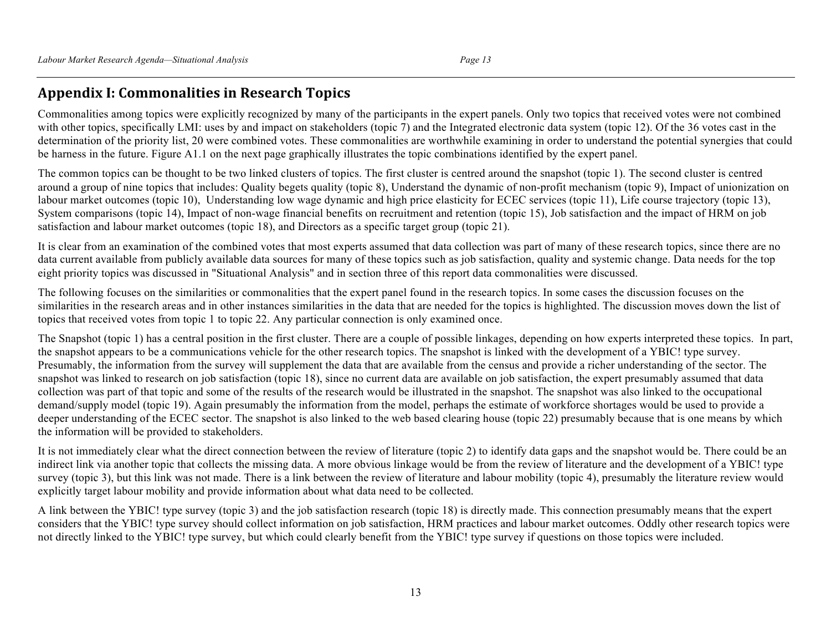## **Appendix I: Commonalities in Research Topics**

Commonalities among topics were explicitly recognized by many of the participants in the expert panels. Only two topics that received votes were not combined with other topics, specifically LMI: uses by and impact on stakeholders (topic 7) and the Integrated electronic data system (topic 12). Of the 36 votes cast in the determination of the priority list, 20 were combined votes. These commonalities are worthwhile examining in order to understand the potential synergies that could be harness in the future. Figure A1.1 on the next page graphically illustrates the topic combinations identified by the expert panel.

The common topics can be thought to be two linked clusters of topics. The first cluster is centred around the snapshot (topic 1). The second cluster is centred around a group of nine topics that includes: Quality begets quality (topic 8), Understand the dynamic of non-profit mechanism (topic 9), Impact of unionization on labour market outcomes (topic 10), Understanding low wage dynamic and high price elasticity for ECEC services (topic 11), Life course trajectory (topic 13), System comparisons (topic 14), Impact of non-wage financial benefits on recruitment and retention (topic 15), Job satisfaction and the impact of HRM on job satisfaction and labour market outcomes (topic 18), and Directors as a specific target group (topic 21).

It is clear from an examination of the combined votes that most experts assumed that data collection was part of many of these research topics, since there are no data current available from publicly available data sources for many of these topics such as job satisfaction, quality and systemic change. Data needs for the top eight priority topics was discussed in "Situational Analysis" and in section three of this report data commonalities were discussed.

The following focuses on the similarities or commonalities that the expert panel found in the research topics. In some cases the discussion focuses on the similarities in the research areas and in other instances similarities in the data that are needed for the topics is highlighted. The discussion moves down the list of topics that received votes from topic 1 to topic 22. Any particular connection is only examined once.

The Snapshot (topic 1) has a central position in the first cluster. There are a couple of possible linkages, depending on how experts interpreted these topics. In part, the snapshot appears to be a communications vehicle for the other research topics. The snapshot is linked with the development of a YBIC! type survey. Presumably, the information from the survey will supplement the data that are available from the census and provide a richer understanding of the sector. The snapshot was linked to research on job satisfaction (topic 18), since no current data are available on job satisfaction, the expert presumably assumed that data collection was part of that topic and some of the results of the research would be illustrated in the snapshot. The snapshot was also linked to the occupational demand/supply model (topic 19). Again presumably the information from the model, perhaps the estimate of workforce shortages would be used to provide a deeper understanding of the ECEC sector. The snapshot is also linked to the web based clearing house (topic 22) presumably because that is one means by which the information will be provided to stakeholders.

It is not immediately clear what the direct connection between the review of literature (topic 2) to identify data gaps and the snapshot would be. There could be an indirect link via another topic that collects the missing data. A more obvious linkage would be from the review of literature and the development of a YBIC! type survey (topic 3), but this link was not made. There is a link between the review of literature and labour mobility (topic 4), presumably the literature review would explicitly target labour mobility and provide information about what data need to be collected.

A link between the YBIC! type survey (topic 3) and the job satisfaction research (topic 18) is directly made. This connection presumably means that the expert considers that the YBIC! type survey should collect information on job satisfaction, HRM practices and labour market outcomes. Oddly other research topics were not directly linked to the YBIC! type survey, but which could clearly benefit from the YBIC! type survey if questions on those topics were included.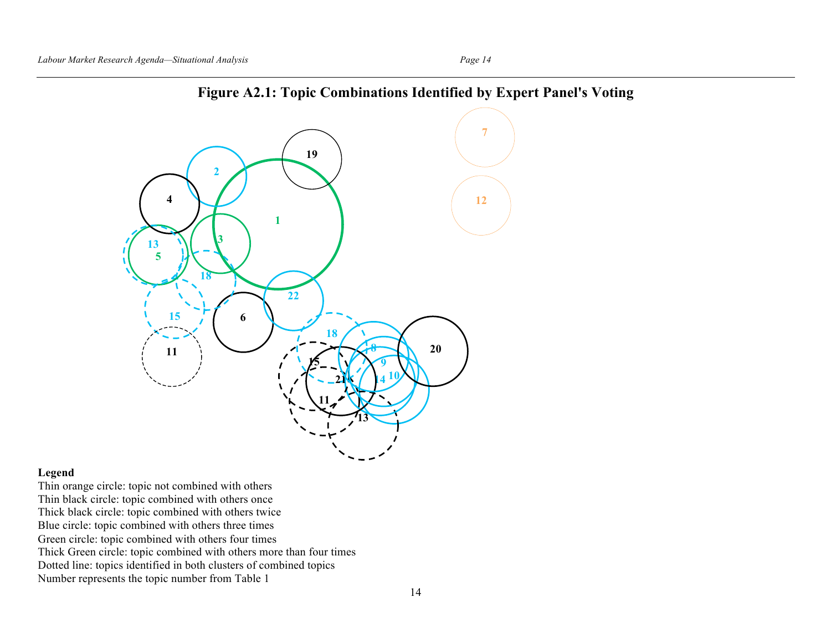

## **Figure A2.1: Topic Combinations Identified by Expert Panel's Voting**

#### **Legend**

Thin orange circle: topic not combined with others Thin black circle: topic combined with others once Thick black circle: topic combined with others twice Blue circle: topic combined with others three times Green circle: topic combined with others four times Thick Green circle: topic combined with others more than four times Dotted line: topics identified in both clusters of combined topics Number represents the topic number from Table 1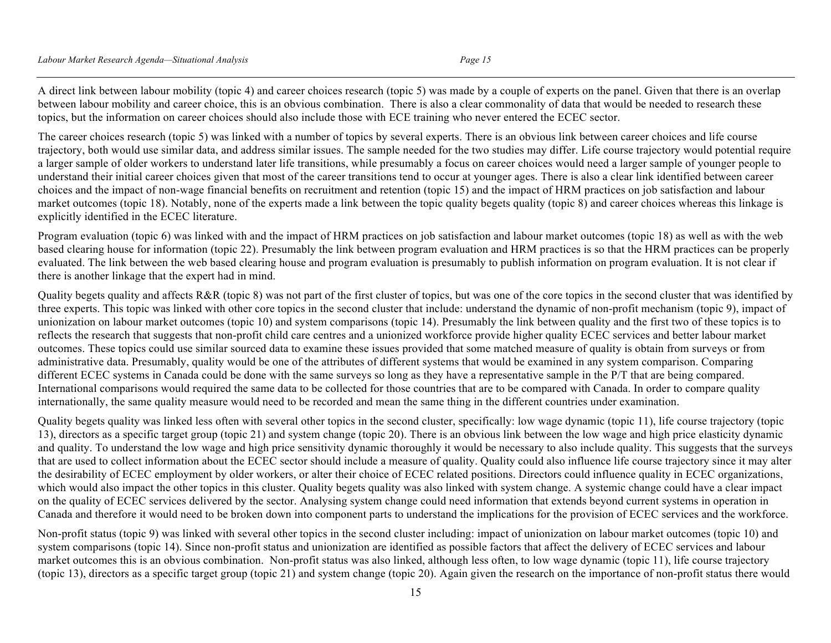A direct link between labour mobility (topic 4) and career choices research (topic 5) was made by a couple of experts on the panel. Given that there is an overlap between labour mobility and career choice, this is an obvious combination. There is also a clear commonality of data that would be needed to research these topics, but the information on career choices should also include those with ECE training who never entered the ECEC sector.

The career choices research (topic 5) was linked with a number of topics by several experts. There is an obvious link between career choices and life course trajectory, both would use similar data, and address similar issues. The sample needed for the two studies may differ. Life course trajectory would potential require a larger sample of older workers to understand later life transitions, while presumably a focus on career choices would need a larger sample of younger people to understand their initial career choices given that most of the career transitions tend to occur at younger ages. There is also a clear link identified between career choices and the impact of non-wage financial benefits on recruitment and retention (topic 15) and the impact of HRM practices on job satisfaction and labour market outcomes (topic 18). Notably, none of the experts made a link between the topic quality begets quality (topic 8) and career choices whereas this linkage is explicitly identified in the ECEC literature.

Program evaluation (topic 6) was linked with and the impact of HRM practices on job satisfaction and labour market outcomes (topic 18) as well as with the web based clearing house for information (topic 22). Presumably the link between program evaluation and HRM practices is so that the HRM practices can be properly evaluated. The link between the web based clearing house and program evaluation is presumably to publish information on program evaluation. It is not clear if there is another linkage that the expert had in mind.

Quality begets quality and affects R&R (topic 8) was not part of the first cluster of topics, but was one of the core topics in the second cluster that was identified by three experts. This topic was linked with other core topics in the second cluster that include: understand the dynamic of non-profit mechanism (topic 9), impact of unionization on labour market outcomes (topic 10) and system comparisons (topic 14). Presumably the link between quality and the first two of these topics is to reflects the research that suggests that non-profit child care centres and a unionized workforce provide higher quality ECEC services and better labour market outcomes. These topics could use similar sourced data to examine these issues provided that some matched measure of quality is obtain from surveys or from administrative data. Presumably, quality would be one of the attributes of different systems that would be examined in any system comparison. Comparing different ECEC systems in Canada could be done with the same surveys so long as they have a representative sample in the P/T that are being compared. International comparisons would required the same data to be collected for those countries that are to be compared with Canada. In order to compare quality internationally, the same quality measure would need to be recorded and mean the same thing in the different countries under examination.

Quality begets quality was linked less often with several other topics in the second cluster, specifically: low wage dynamic (topic 11), life course trajectory (topic 13), directors as a specific target group (topic 21) and system change (topic 20). There is an obvious link between the low wage and high price elasticity dynamic and quality. To understand the low wage and high price sensitivity dynamic thoroughly it would be necessary to also include quality. This suggests that the surveys that are used to collect information about the ECEC sector should include a measure of quality. Quality could also influence life course trajectory since it may alter the desirability of ECEC employment by older workers, or alter their choice of ECEC related positions. Directors could influence quality in ECEC organizations, which would also impact the other topics in this cluster. Quality begets quality was also linked with system change. A systemic change could have a clear impact on the quality of ECEC services delivered by the sector. Analysing system change could need information that extends beyond current systems in operation in Canada and therefore it would need to be broken down into component parts to understand the implications for the provision of ECEC services and the workforce.

Non-profit status (topic 9) was linked with several other topics in the second cluster including: impact of unionization on labour market outcomes (topic 10) and system comparisons (topic 14). Since non-profit status and unionization are identified as possible factors that affect the delivery of ECEC services and labour market outcomes this is an obvious combination. Non-profit status was also linked, although less often, to low wage dynamic (topic 11), life course trajectory (topic 13), directors as a specific target group (topic 21) and system change (topic 20). Again given the research on the importance of non-profit status there would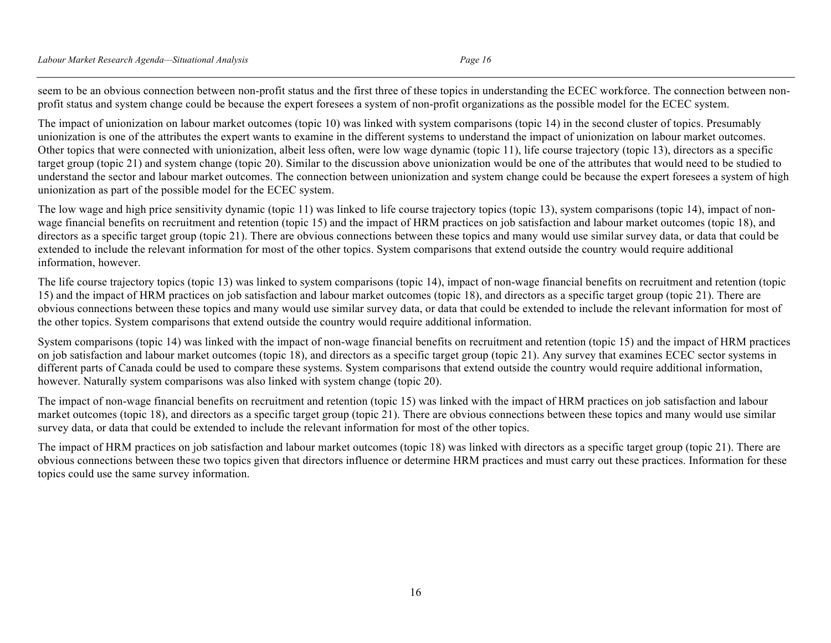seem to be an obvious connection between non-profit status and the first three of these topics in understanding the ECEC workforce. The connection between nonprofit status and system change could be because the expert foresees a system of non-profit organizations as the possible model for the ECEC system.

The impact of unionization on labour market outcomes (topic 10) was linked with system comparisons (topic 14) in the second cluster of topics. Presumably unionization is one of the attributes the expert wants to examine in the different systems to understand the impact of unionization on labour market outcomes. Other topics that were connected with unionization, albeit less often, were low wage dynamic (topic 11), life course trajectory (topic 13), directors as a specific target group (topic 21) and system change (topic 20). Similar to the discussion above unionization would be one of the attributes that would need to be studied to understand the sector and labour market outcomes. The connection between unionization and system change could be because the expert foresees a system of high unionization as part of the possible model for the ECEC system.

The low wage and high price sensitivity dynamic (topic 11) was linked to life course trajectory topics (topic 13), system comparisons (topic 14), impact of nonwage financial benefits on recruitment and retention (topic 15) and the impact of HRM practices on job satisfaction and labour market outcomes (topic 18), and directors as a specific target group (topic 21). There are obvious connections between these topics and many would use similar survey data, or data that could be extended to include the relevant information for most of the other topics. System comparisons that extend outside the country would require additional information, however.

The life course trajectory topics (topic 13) was linked to system comparisons (topic 14), impact of non-wage financial benefits on recruitment and retention (topic 15) and the impact of HRM practices on job satisfaction and labour market outcomes (topic 18), and directors as a specific target group (topic 21). There are obvious connections between these topics and many would use similar survey data, or data that could be extended to include the relevant information for most of the other topics. System comparisons that extend outside the country would require additional information.

System comparisons (topic 14) was linked with the impact of non-wage financial benefits on recruitment and retention (topic 15) and the impact of HRM practices on job satisfaction and labour market outcomes (topic 18), and directors as a specific target group (topic 21). Any survey that examines ECEC sector systems in different parts of Canada could be used to compare these systems. System comparisons that extend outside the country would require additional information, however. Naturally system comparisons was also linked with system change (topic 20).

The impact of non-wage financial benefits on recruitment and retention (topic 15) was linked with the impact of HRM practices on job satisfaction and labour market outcomes (topic 18), and directors as a specific target group (topic 21). There are obvious connections between these topics and many would use similar survey data, or data that could be extended to include the relevant information for most of the other topics.

The impact of HRM practices on job satisfaction and labour market outcomes (topic 18) was linked with directors as a specific target group (topic 21). There are obvious connections between these two topics given that directors influence or determine HRM practices and must carry out these practices. Information for these topics could use the same survey information.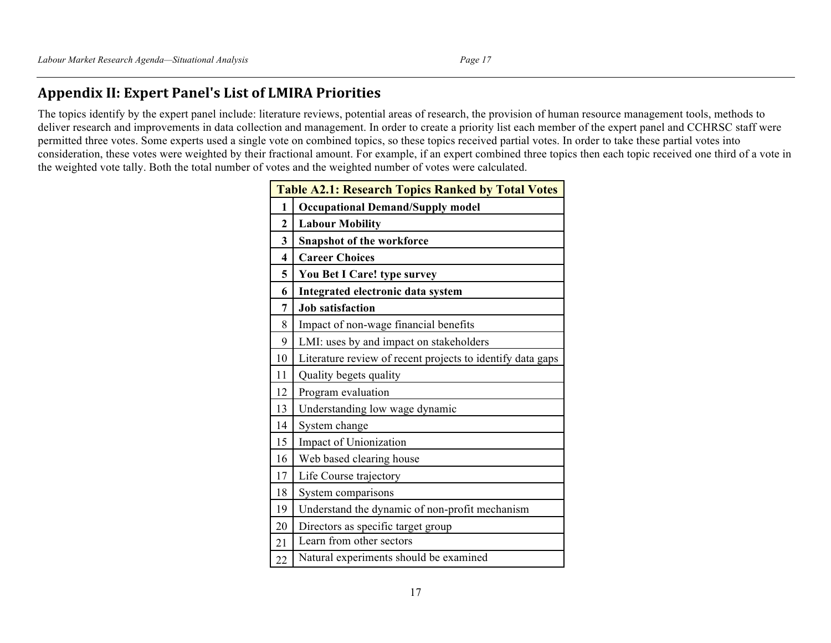## **Appendix II: Expert Panel's List of LMIRA Priorities**

The topics identify by the expert panel include: literature reviews, potential areas of research, the provision of human resource management tools, methods to deliver research and improvements in data collection and management. In order to create a priority list each member of the expert panel and CCHRSC staff were permitted three votes. Some experts used a single vote on combined topics, so these topics received partial votes. In order to take these partial votes into consideration, these votes were weighted by their fractional amount. For example, if an expert combined three topics then each topic received one third of a vote in the weighted vote tally. Both the total number of votes and the weighted number of votes were calculated.

| <b>Table A2.1: Research Topics Ranked by Total Votes</b> |                                                            |  |
|----------------------------------------------------------|------------------------------------------------------------|--|
| 1                                                        | <b>Occupational Demand/Supply model</b>                    |  |
| $\overline{2}$                                           | <b>Labour Mobility</b>                                     |  |
| 3                                                        | <b>Snapshot of the workforce</b>                           |  |
| 4                                                        | <b>Career Choices</b>                                      |  |
| 5                                                        | You Bet I Care! type survey                                |  |
| 6                                                        | Integrated electronic data system                          |  |
| 7                                                        | <b>Job satisfaction</b>                                    |  |
| 8                                                        | Impact of non-wage financial benefits                      |  |
| 9                                                        | LMI: uses by and impact on stakeholders                    |  |
| 10                                                       | Literature review of recent projects to identify data gaps |  |
| 11                                                       | Quality begets quality                                     |  |
| 12                                                       | Program evaluation                                         |  |
| 13                                                       | Understanding low wage dynamic                             |  |
| 14                                                       | System change                                              |  |
| 15                                                       | Impact of Unionization                                     |  |
| 16                                                       | Web based clearing house                                   |  |
| 17                                                       | Life Course trajectory                                     |  |
| 18                                                       | System comparisons                                         |  |
| 19                                                       | Understand the dynamic of non-profit mechanism             |  |
| 20                                                       | Directors as specific target group                         |  |
| 21                                                       | Learn from other sectors                                   |  |
| 22                                                       | Natural experiments should be examined                     |  |